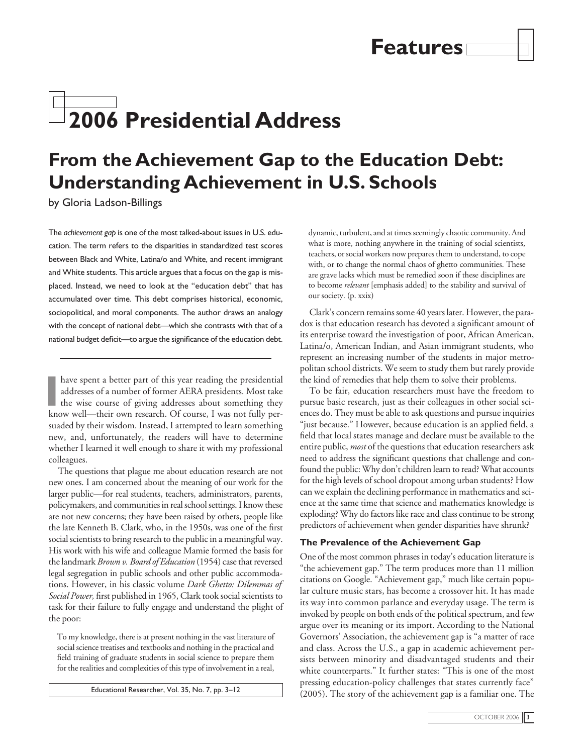# **2006 Presidential Address**

## **From the Achievement Gap to the Education Debt: Understanding Achievement in U.S. Schools**

by Gloria Ladson-Billings

The *achievement gap* is one of the most talked-about issues in U.S. education. The term refers to the disparities in standardized test scores between Black and White, Latina/o and White, and recent immigrant and White students. This article argues that a focus on the gap is misplaced. Instead, we need to look at the "education debt" that has accumulated over time. This debt comprises historical, economic, sociopolitical, and moral components. The author draws an analogy with the concept of national debt—which she contrasts with that of a national budget deficit—to argue the significance of the education debt.

have spent a better part of this year reading the presidential addresses of a number of former AERA presidents. Most take the wise course of giving addresses about something they have spent a better part of this year reading the presidential addresses of a number of former AERA presidents. Most take the wise course of giving addresses about something they know well—their own research. Of course, I suaded by their wisdom. Instead, I attempted to learn something new, and, unfortunately, the readers will have to determine whether I learned it well enough to share it with my professional colleagues.

The questions that plague me about education research are not new ones. I am concerned about the meaning of our work for the larger public—for real students, teachers, administrators, parents, policymakers, and communities in real school settings. I know these are not new concerns; they have been raised by others, people like the late Kenneth B. Clark, who, in the 1950s, was one of the first social scientists to bring research to the public in a meaningful way. His work with his wife and colleague Mamie formed the basis for the landmark *Brown v. Board of Education* (1954) case that reversed legal segregation in public schools and other public accommodations. However, in his classic volume *Dark Ghetto: Dilemmas of Social Power,* first published in 1965, Clark took social scientists to task for their failure to fully engage and understand the plight of the poor:

To my knowledge, there is at present nothing in the vast literature of social science treatises and textbooks and nothing in the practical and field training of graduate students in social science to prepare them for the realities and complexities of this type of involvement in a real,

dynamic, turbulent, and at times seemingly chaotic community. And what is more, nothing anywhere in the training of social scientists, teachers, or social workers now prepares them to understand, to cope with, or to change the normal chaos of ghetto communities. These are grave lacks which must be remedied soon if these disciplines are to become *relevant* [emphasis added] to the stability and survival of our society. (p. xxix)

Clark's concern remains some 40 years later. However, the paradox is that education research has devoted a significant amount of its enterprise toward the investigation of poor, African American, Latina/o, American Indian, and Asian immigrant students, who represent an increasing number of the students in major metropolitan school districts. Weseem to study them but rarely provide the kind of remedies that help them to solve their problems.

To be fair, education researchers must have the freedom to pursue basic research, just as their colleagues in other social sciences do. They must be able to ask questions and pursue inquiries "just because." However, because education is an applied field, a field that local states manage and declare must be available to the entire public, *most* of the questions that education researchers ask need to address the significant questions that challenge and confound the public: Why don't children learn to read? What accounts for the high levels of school dropout among urban students? How can we explain the declining performance in mathematics and science at the same time that science and mathematics knowledge is exploding? Why do factors like race and class continue to be strong predictors of achievement when gender disparities have shrunk?

#### **The Prevalence of the Achievement Gap**

One of the most common phrases in today's education literature is "the achievement gap." The term produces more than 11 million citations on Google. "Achievement gap," much like certain popular culture music stars, has become a crossover hit. It has made its way into common parlance and everyday usage. The term is invoked by people on both ends of the political spectrum, and few argue over its meaning or its import. According to the National Governors' Association, the achievement gap is "a matter of race and class. Across the U.S., a gap in academic achievement persists between minority and disadvantaged students and their white counterparts." It further states: "This is one of the most pressing education-policy challenges that states currently face" Educational Researcher, Vol. 35, No. 7, pp. 3–12 (2005). The story of the achievement gap is a familiar one. The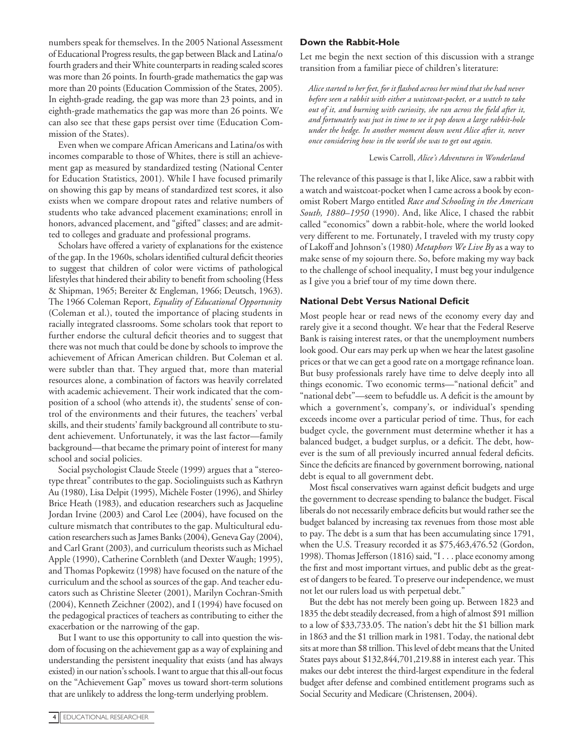numbers speak for themselves. In the 2005 National Assessment of Educational Progress results, the gap between Black and Latina/o fourth graders and their White counterparts in reading scaled scores was more than 26 points. In fourth-grade mathematics the gap was more than 20 points (Education Commission of the States, 2005). In eighth-grade reading, the gap was more than 23 points, and in eighth-grade mathematics the gap was more than 26 points. We can also see that these gaps persist over time (Education Commission of the States).

Even when we compare African Americans and Latina/os with incomes comparable to those of Whites, there is still an achievement gap as measured by standardized testing (National Center for Education Statistics, 2001). While I have focused primarily on showing this gap by means of standardized test scores, it also exists when we compare dropout rates and relative numbers of students who take advanced placement examinations; enroll in honors, advanced placement, and "gifted" classes; and are admitted to colleges and graduate and professional programs.

Scholars have offered a variety of explanations for the existence of the gap. In the 1960s, scholars identified cultural deficit theories to suggest that children of color were victims of pathological lifestyles that hindered their ability to benefit from schooling (Hess & Shipman, 1965; Bereiter & Engleman, 1966; Deutsch, 1963). The 1966 Coleman Report, *Equality of Educational Opportunity* (Coleman et al.), touted the importance of placing students in racially integrated classrooms. Some scholars took that report to further endorse the cultural deficit theories and to suggest that there was not much that could be done by schools to improve the achievement of African American children. But Coleman et al. were subtler than that. They argued that, more than material resources alone, a combination of factors was heavily correlated with academic achievement. Their work indicated that the composition of a school (who attends it), the students' sense of control of the environments and their futures, the teachers' verbal skills, and their students' family background all contribute to student achievement. Unfortunately, it was the last factor—family background—that became the primary point of interest for many school and social policies.

Social psychologist Claude Steele (1999) argues that a "stereotype threat" contributes to the gap. Sociolinguists such as Kathryn Au (1980), Lisa Delpit (1995), Michèle Foster (1996), and Shirley Brice Heath (1983), and education researchers such as Jacqueline Jordan Irvine (2003) and Carol Lee (2004), have focused on the culture mismatch that contributes to the gap. Multicultural education researchers such as James Banks (2004), Geneva Gay (2004), and Carl Grant (2003), and curriculum theorists such as Michael Apple (1990), Catherine Cornbleth (and Dexter Waugh; 1995), and Thomas Popkewitz (1998) have focused on the nature of the curriculum and the school as sources of the gap. And teacher educators such as Christine Sleeter (2001), Marilyn Cochran-Smith (2004), Kenneth Zeichner (2002), and I (1994) have focused on the pedagogical practices of teachers as contributing to either the exacerbation or the narrowing of the gap.

But I want to use this opportunity to call into question the wisdom of focusing on the achievement gap as a way of explaining and understanding the persistent inequality that exists (and has always existed) in our nation's schools. I want to argue that this all-out focus on the "Achievement Gap" moves us toward short-term solutions that are unlikely to address the long-term underlying problem.

### 4 EDUCATIONAL RESEARCHER

#### **Down the Rabbit-Hole**

Let me begin the next section of this discussion with a strange transition from a familiar piece of children's literature:

*Alice started to her feet, for it flashed across her mind that she had never before seen a rabbit with either a waistcoat-pocket, or a watch to take out of it, and burning with curiosity, she ran across the field after it, and fortunately was just in time to see it pop down a large rabbit-hole under the hedge. In another moment down went Alice after it, never once considering how in the world she was to get out again.*

#### Lewis Carroll, *Alice's Adventures in Wonderland*

The relevance of this passage is that I, like Alice, saw a rabbit with a watch and waistcoat-pocket when I came across a book by economist Robert Margo entitled *Race and Schooling in the American South, 1880–1950* (1990). And, like Alice, I chased the rabbit called "economics" down a rabbit-hole, where the world looked very different to me. Fortunately, I traveled with my trusty copy of Lakoff and Johnson's (1980) *Metaphors We Live By* as a way to make sense of my sojourn there. So, before making my way back to the challenge of school inequality, I must beg your indulgence as I give you a brief tour of my time down there.

#### **National Debt Versus National Deficit**

Most people hear or read news of the economy every day and rarely give it a second thought. We hear that the Federal Reserve Bank is raising interest rates, or that the unemployment numbers look good. Our ears may perk up when we hear the latest gasoline prices or that we can get a good rate on a mortgage refinance loan. But busy professionals rarely have time to delve deeply into all things economic. Two economic terms—"national deficit" and "national debt"—seem to befuddle us. A deficit is the amount by which a government's, company's, or individual's spending exceeds income over a particular period of time. Thus, for each budget cycle, the government must determine whether it has a balanced budget, a budget surplus, or a deficit. The debt, however is the sum of all previously incurred annual federal deficits. Since the deficits are financed by government borrowing, national debt is equal to all government debt.

Most fiscal conservatives warn against deficit budgets and urge the government to decrease spending to balance the budget. Fiscal liberals do not necessarily embrace deficits but would rather seethe budget balanced by increasing tax revenues from those most able to pay. The debt is a sum that has been accumulating since 1791, when the U.S. Treasury recorded it as \$75,463,476.52 (Gordon, 1998). Thomas Jefferson (1816) said, "I... place economy among the first and most important virtues, and public debt as the greatest of dangers to be feared. To preserve our independence, we must not let our rulers load us with perpetual debt."

But the debt has not merely been going up. Between 1823 and 1835 the debt steadily decreased, from a high of almost \$91 million to a low of \$33,733.05. The nation's debt hit the \$1 billion mark in 1863 and the \$1 trillion mark in 1981. Today, the national debt sits at more than \$8 trillion. This level of debt means that the United States pays about \$132,844,701,219.88 in interest each year. This makes our debt interest the third-largest expenditure in the federal budget after defense and combined entitlement programs such as Social Security and Medicare (Christensen, 2004).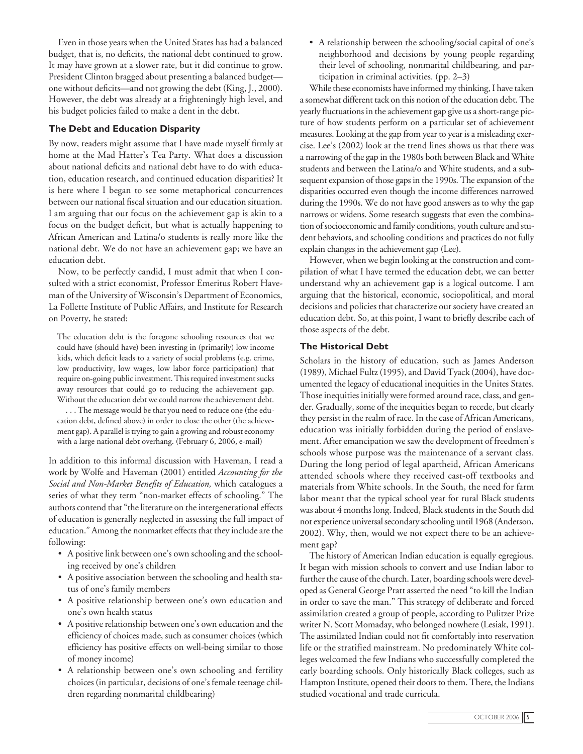Even in those years when the United States has had a balanced budget, that is, no deficits, the national debt continued to grow. It may have grown at a slower rate, but it did continue to grow. President Clinton bragged about presenting a balanced budget one without deficits—and not growing the debt (King, J., 2000). However, the debt was already at a frighteningly high level, and his budget policies failed to make a dent in the debt.

#### **The Debt and Education Disparity**

By now, readers might assume that I have made myself firmly at home at the Mad Hatter's Tea Party. What does a discussion about national deficits and national debt have to do with education, education research, and continued education disparities? It is here where I began to see some metaphorical concurrences between our national fiscal situation and our education situation. I am arguing that our focus on the achievement gap is akin to a focus on the budget deficit, but what is actually happening to African American and Latina/o students is really more like the national debt. We do not have an achievement gap; we have an education debt.

Now, to be perfectly candid, I must admit that when I consulted with a strict economist, Professor Emeritus Robert Haveman of the University of Wisconsin's Department of Economics, La Follette Institute of Public Affairs, and Institute for Research on Poverty, he stated:

The education debt is the foregone schooling resources that we could have (should have) been investing in (primarily) low income kids, which deficit leads to a variety of social problems (e.g. crime, low productivity, low wages, low labor force participation) that require on-going public investment. This required investment sucks away resources that could go to reducing the achievement gap. Without the education debt we could narrow the achievement debt. . . . The message would be that you need to reduce one (the education debt, defined above) in order to close the other (the achievement gap). A parallel is trying to gain a growing and robust economy with a large national debt overhang. (February 6, 2006, e-mail)

In addition to this informal discussion with Haveman, I read a work by Wolfe and Haveman (2001) entitled *Accounting for the Social and Non-Market Benefits of Education,* which catalogues a series of what they term "non-market effects of schooling." The authors contend that "the literature on the intergenerational effects of education is generally neglected in assessing the full impact of education." Among the nonmarket effects that they include are the following:

- A positive link between one's own schooling and the schooling received by one's children
- A positive association between the schooling and health status of one's family members
- A positive relationship between one's own education and one's own health status
- A positive relationship between one's own education and the efficiency of choices made, such as consumer choices (which efficiency has positive effects on well-being similar to those of money income)
- A relationship between one's own schooling and fertility choices (in particular, decisions of one's female teenage children regarding nonmarital childbearing)

• A relationship between the schooling/social capital of one's neighborhood and decisions by young people regarding their level of schooling, nonmarital childbearing, and participation in criminal activities. (pp. 2–3)

While these economists have informed my thinking, I have taken a somewhat different tack on this notion of the education debt. The yearly fluctuations in the achievement gap give us a short-range picture of how students perform on a particular set of achievement measures. Looking at the gap from year to year is a misleading exercise. Lee's (2002) look at the trend lines shows us that there was a narrowing of the gap in the 1980s both between Black and White students and between the Latina/o and White students, and a subsequent expansion of those gaps in the 1990s. The expansion of the disparities occurred even though the income differences narrowed during the 1990s. We do not have good answers as to why the gap narrows or widens. Some research suggests that even the combination of socioeconomic and family conditions, youth culture and student behaviors, and schooling conditions and practices do not fully explain changes in the achievement gap (Lee).

However, when we begin looking at the construction and compilation of what I have termed the education debt, we can better understand why an achievement gap is a logical outcome. I am arguing that the historical, economic, sociopolitical, and moral decisions and policies that characterize our society have created an education debt. So, at this point, I want to briefly describe each of those aspects of the debt.

#### **The Historical Debt**

Scholars in the history of education, such as James Anderson (1989), Michael Fultz (1995), and David Tyack (2004), have documented the legacy of educational inequities in the Unites States. Those inequities initially were formed around race, class, and gender. Gradually, some of the inequities began to recede, but clearly they persist in the realm of race. In the case of African Americans, education was initially forbidden during the period of enslavement. After emancipation we saw the development of freedmen's schools whose purpose was the maintenance of a servant class. During the long period of legal apartheid, African Americans attended schools where they received cast-off textbooks and materials from White schools. In the South, the need for farm labor meant that the typical school year for rural Black students was about 4 months long. Indeed, Black students in the South did not experience universal secondary schooling until 1968 (Anderson, 2002). Why, then, would we not expect there to be an achievement gap?

The history of American Indian education is equally egregious. It began with mission schools to convert and use Indian labor to further the cause of the church. Later, boarding schools were developed as General George Pratt asserted the need "to kill the Indian in order to save the man." This strategy of deliberate and forced assimilation created a group of people, according to Pulitzer Prize writer N. Scott Momaday, who belonged nowhere(Lesiak, 1991). The assimilated Indian could not fit comfortably into reservation life or the stratified mainstream. No predominately White colleges welcomed the few Indians who successfully completed the early boarding schools. Only historically Black colleges, such as Hampton Institute, opened their doors to them. There, the Indians studied vocational and trade curricula.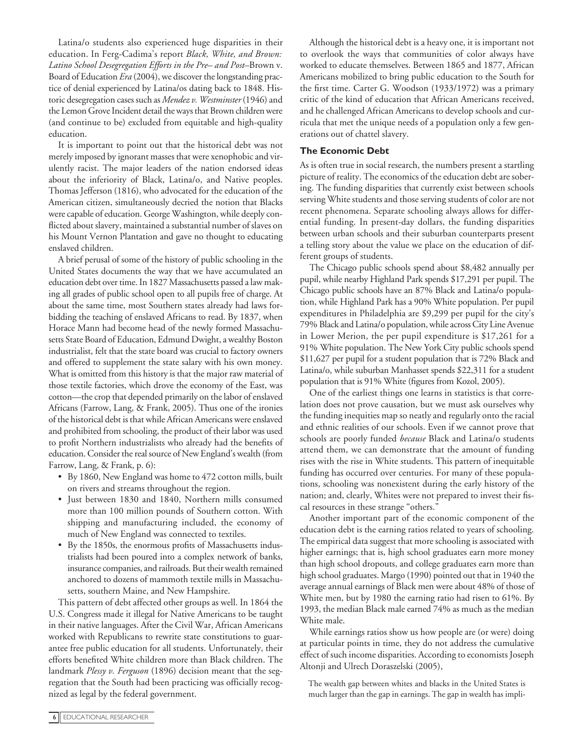Latina/o students also experienced huge disparities in their education. In Ferg-Cadima's report *Black, White, and Brown: Latino School Desegregation Efforts in the Pre– and Post–*Brown v. Board of Education *Era* (2004), we discover the longstanding practice of denial experienced by Latina/os dating back to 1848. Historic desegregation cases such as *Mendez v. Westminster*(1946) and the Lemon Grove Incident detail the ways that Brown children were (and continue to be) excluded from equitable and high-quality education.

It is important to point out that the historical debt was not merely imposed by ignorant masses that were xenophobic and virulently racist. The major leaders of the nation endorsed ideas about the inferiority of Black, Latina/o, and Native peoples. Thomas Jefferson (1816), who advocated for the education of the American citizen, simultaneously decried the notion that Blacks were capable of education. George Washington, while deeply conflicted about slavery, maintained a substantial number of slaves on his Mount Vernon Plantation and gave no thought to educating enslaved children.

A brief perusal of some of the history of public schooling in the United States documents the way that we have accumulated an education debt over time. In 1827 Massachusetts passed a law making all grades of public school open to all pupils free of charge. At about the same time, most Southern states already had laws forbidding the teaching of enslaved Africans to read. By 1837, when Horace Mann had become head of the newly formed Massachusetts State Board of Education, Edmund Dwight, a wealthy Boston industrialist, felt that the state board was crucial to factory owners and offered to supplement the state salary with his own money. What is omitted from this history is that the major raw material of those textile factories, which drove the economy of the East, was cotton—the crop that depended primarily on the labor of enslaved Africans (Farrow, Lang, & Frank, 2005). Thus one of the ironies of the historical debt is that while African Americans were enslaved and prohibited from schooling, the product of their labor was used to profit Northern industrialists who already had the benefits of education. Consider the real source of New England's wealth (from Farrow, Lang, & Frank, p. 6):

- By 1860, New England was home to 472 cotton mills, built on rivers and streams throughout the region.
- Just between 1830 and 1840, Northern mills consumed more than 100 million pounds of Southern cotton. With shipping and manufacturing included, the economy of much of New England was connected to textiles.
- By the 1850s, the enormous profits of Massachusetts industrialists had been poured into a complex network of banks, insurance companies, and railroads. But their wealth remained anchored to dozens of mammoth textile mills in Massachusetts, southern Maine, and New Hampshire.

This pattern of debt affected other groups as well. In 1864 the U.S. Congress made it illegal for Native Americans to be taught in their native languages. After the Civil War, African Americans worked with Republicans to rewrite state constitutions to guarantee free public education for all students. Unfortunately, their efforts benefited White children more than Black children. The landmark *Plessy v. Ferguson* (1896) decision meant that the segregation that the South had been practicing was officially recognized as legal by the federal government.

Although the historical debt is a heavy one, it is important not to overlook the ways that communities of color always have worked to educate themselves. Between 1865 and 1877, African Americans mobilized to bring public education to the South for the first time. Carter G. Woodson (1933/1972) was a primary critic of the kind of education that African Americans received, and he challenged African Americans to develop schools and curricula that met the unique needs of a population only a few generations out of chattel slavery.

#### **The Economic Debt**

As is often true in social research, the numbers present a startling picture of reality. The economics of the education debt are sobering. The funding disparities that currently exist between schools serving White students and those serving students of color are not recent phenomena. Separate schooling always allows for differential funding. In present-day dollars, the funding disparities between urban schools and their suburban counterparts present a telling story about the value we place on the education of different groups of students.

The Chicago public schools spend about \$8,482 annually per pupil, while nearby Highland Park spends \$17,291 per pupil. The Chicago public schools have an 87% Black and Latina/o population, while Highland Park has a 90% White population. Per pupil expenditures in Philadelphia are \$9,299 per pupil for the city's 79% Black and Latina/o population, while across City Line Avenue in Lower Merion, the per pupil expenditure is \$17,261 for a 91% White population. The New York City public schools spend \$11,627 per pupil for a student population that is 72% Black and Latina/o, while suburban Manhasset spends \$22,311 for a student population that is 91% White (figures from Kozol, 2005).

One of the earliest things one learns in statistics is that correlation does not prove causation, but we must ask ourselves why the funding inequities map so neatly and regularly onto the racial and ethnic realities of our schools. Even if we cannot prove that schools are poorly funded *because* Black and Latina/o students attend them, we can demonstrate that the amount of funding rises with the rise in White students. This pattern of inequitable funding has occurred over centuries. For many of these populations, schooling was nonexistent during the early history of the nation; and, clearly, Whites were not prepared to invest their fiscal resources in these strange "others."

Another important part of the economic component of the education debt is the earning ratios related to years of schooling. The empirical data suggest that more schooling is associated with higher earnings; that is, high school graduates earn more money than high school dropouts, and college graduates earn more than high school graduates. Margo (1990) pointed out that in 1940 the average annual earnings of Black men were about 48% of those of White men, but by 1980 the earning ratio had risen to 61%. By 1993, the median Black male earned 74% as much as the median White male.

While earnings ratios show us how people are (or were) doing at particular points in time, they do not address the cumulative effect of such income disparities. According to economists Joseph Altonji and Ulrech Doraszelski (2005),

The wealth gap between whites and blacks in the United States is much larger than the gap in earnings. The gap in wealth has impli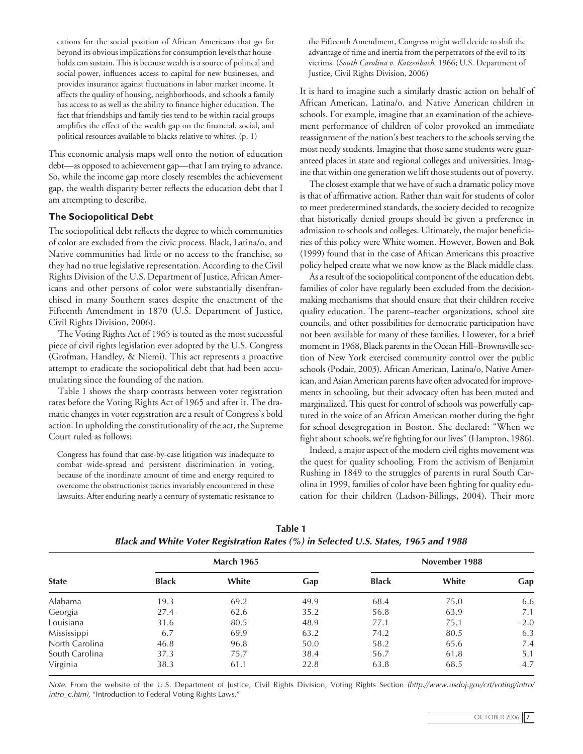cations for the social position of African Americans that go far beyond its obvious implications for consumption levels that households can sustain. This is because wealth is a source of political and social power, influences access to capital for new businesses, and provides insurance against fluctuations in labor market income. It affects the quality of housing, neighborhoods, and schools a family has access to as well as the ability to finance higher education. The fact that friendships and family ties tend to be within racial groups amplifies the effect of the wealth gap on the financial, social, and political resources available to blacks relative to whites. (p. 1)

This economic analysis maps well onto the notion of education debt—as opposed to achievement gap—that I am trying to advance. So, while the income gap more closely resembles the achievement gap, the wealth disparity better reflects the education debt that I am attempting to describe.

#### **The Sociopolitical Debt**

The sociopolitical debt reflects the degree to which communities of color are excluded from the civic process. Black, Latina/o, and Native communities had little or no access to the franchise, so they had no true legislative representation. According to the Civil Rights Division of the U.S. Department of Justice, African Americans and other persons of color were substantially disenfranchised in many Southern states despite the enactment of the Fifteenth Amendment in 1870 (U.S. Department of Justice, Civil Rights Division, 2006).

The Voting Rights Act of 1965 is touted as the most successful piece of civil rights legislation ever adopted by the U.S. Congress (Grofman, Handley, & Niemi). This act represents a proactive attempt to eradicate the sociopolitical debt that had been accumulating since the founding of the nation.

Table 1 shows the sharp contrasts between voter registration rates before the Voting Rights Act of 1965 and after it. The dramatic changes in voter registration are a result of Congress's bold action. In upholding the constitutionality of the act, the Supreme Court ruled as follows:

Congress has found that case-by-case litigation was inadequate to combat wide-spread and persistent discrimination in voting, because of the inordinate amount of time and energy required to overcome the obstructionist tactics invariably encountered in these lawsuits. After enduring nearly a century of systematic resistance to

the Fifteenth Amendment, Congress might well decide to shift the advantage of time and inertia from the perpetrators of the evil to its victims. (*South Carolina v. Katzenbach,* 1966; U.S. Department of Justice, Civil Rights Division, 2006)

It is hard to imagine such a similarly drastic action on behalf of African American, Latina/o, and Native American children in schools. For example, imagine that an examination of the achievement performance of children of color provoked an immediate reassignment of the nation's best teachers to theschools serving the most needy students. Imagine that those same students were guaranteed places in state and regional colleges and universities. Imagine that within one generation we lift those students out of poverty.

The closest example that we have of such a dramatic policy move is that of affirmative action. Rather than wait for students of color to meet predetermined standards, the society decided to recognize that historically denied groups should be given a preference in admission to schools and colleges. Ultimately, the major beneficiaries of this policy were White women. However, Bowen and Bok (1999) found that in the case of African Americans this proactive policy helped create what we now know as the Black middle class.

As a result of the sociopolitical component of the education debt, families of color have regularly been excluded from the decisionmaking mechanisms that should ensure that their children receive quality education. The parent–teacher organizations, school site councils, and other possibilities for democratic participation have not been available for many of these families. However, for a brief moment in 1968, Black parents in the Ocean Hill–Brownsville section of New York exercised community control over the public schools (Podair, 2003). African American, Latina/o, Native American, and Asian American parents have often advocated for improvements in schooling, but their advocacy often has been muted and marginalized. This quest for control of schools was powerfully captured in the voice of an African American mother during the fight for school desegregation in Boston. She declared: "When we fight about schools, we're fighting for our lives" (Hampton, 1986).

Indeed, a major aspect of the modern civil rights movement was the quest for quality schooling. From the activism of Benjamin Rushing in 1849 to the struggles of parents in rural South Carolina in 1999, families of color have been fighting for quality education for their children (Ladson-Billings, 2004). Their more

| <b>State</b>   | <b>March 1965</b> |       |      | November 1988 |       |        |
|----------------|-------------------|-------|------|---------------|-------|--------|
|                | <b>Black</b>      | White | Gap  | <b>Black</b>  | White | Gap    |
| Alabama        | 19.3              | 69.2  | 49.9 | 68.4          | 75.0  | 6.6    |
| Georgia        | 27.4              | 62.6  | 35.2 | 56.8          | 63.9  | 7.1    |
| Louisiana      | 31.6              | 80.5  | 48.9 | 77.1          | 75.1  | $-2.0$ |
| Mississippi    | 6.7               | 69.9  | 63.2 | 74.2          | 80.5  | 6.3    |
| North Carolina | 46.8              | 96.8  | 50.0 | 58.2          | 65.6  | 7.4    |
| South Carolina | 37.3              | 75.7  | 38.4 | 56.7          | 61.8  | 5.1    |
| Virginia       | 38.3              | 61.1  | 22.8 | 63.8          | 68.5  | 4.7    |

**Table 1 Black and White Voter Registration Rates (%) in Selected U.S. States, 1965 and 1988**

Note. From the website of the U.S. Department of Justice, Civil Rights Division, Voting Rights Section (http://www.usdoj.gov/crt/voting/intro/ intro\_c.htm), "Introduction to Federal Voting Rights Laws."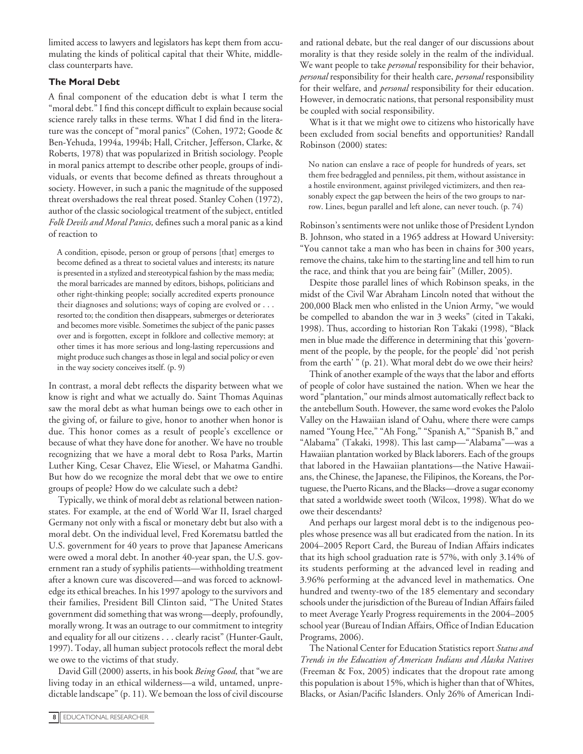limited access to lawyers and legislators has kept them from accumulating the kinds of political capital that their White, middleclass counterparts have.

#### **The Moral Debt**

A final component of the education debt is what I term the "moral debt." I find this concept difficult to explain because social science rarely talks in these terms. What I did find in the literature was the concept of "moral panics" (Cohen, 1972; Goode & Ben-Yehuda, 1994a, 1994b; Hall, Critcher, Jefferson, Clarke, & Roberts, 1978) that was popularized in British sociology. People in moral panics attempt to describe other people, groups of individuals, or events that become defined as threats throughout a society. However, in such a panic the magnitude of the supposed threat overshadows the real threat posed. Stanley Cohen (1972), author of the classic sociological treatment of the subject, entitled *Folk Devils and Moral Panics,* defines such a moral panic as a kind of reaction to

A condition, episode, person or group of persons [that] emerges to become defined as a threat to societal values and interests; its nature is presented in a stylized and stereotypical fashion by the mass media; the moral barricades are manned by editors, bishops, politicians and other right-thinking people; socially accredited experts pronounce their diagnoses and solutions; ways of coping are evolved or . . . resorted to; the condition then disappears, submerges or deteriorates and becomes more visible. Sometimes the subject of the panic passes over and is forgotten, except in folklore and collective memory; at other times it has more serious and long-lasting repercussions and might produce such changes as those in legal and social policy or even in the way society conceives itself. (p. 9)

In contrast, a moral debt reflects the disparity between what we know is right and what we actually do. Saint Thomas Aquinas saw the moral debt as what human beings owe to each other in the giving of, or failure to give, honor to another when honor is due. This honor comes as a result of people's excellence or because of what they have done for another. We have no trouble recognizing that we have a moral debt to Rosa Parks, Martin Luther King, Cesar Chavez, Elie Wiesel, or Mahatma Gandhi. But how do we recognize the moral debt that we owe to entire groups of people? How do we calculate such a debt?

Typically, we think of moral debt as relational between nationstates. For example, at the end of World War II, Israel charged Germany not only with a fiscal or monetary debt but also with a moral debt. On the individual level, Fred Korematsu battled the U.S. government for 40 years to prove that Japanese Americans were owed a moral debt. In another 40-year span, the U.S. government ran a study of syphilis patients—withholding treatment after a known cure was discovered—and was forced to acknowledge its ethical breaches. In his 1997 apology to the survivors and their families, President Bill Clinton said, "The United States government did something that was wrong—deeply, profoundly, morally wrong. It was an outrage to our commitment to integrity and equality for all our citizens . . . clearly racist" (Hunter-Gault, 1997). Today, all human subject protocols reflect the moral debt we owe to the victims of that study.

David Gill (2000) asserts, in his book *Being Good,* that "we are living today in an ethical wilderness—a wild, untamed, unpredictable landscape" (p. 11). We bemoan the loss of civil discourse and rational debate, but the real danger of our discussions about morality is that they reside solely in the realm of the individual. We want people to take *personal* responsibility for their behavior, *personal* responsibility for their health care, *personal* responsibility for their welfare, and *personal* responsibility for their education. However, in democratic nations, that personal responsibility must be coupled with social responsibility.

What is it that we might owe to citizens who historically have been excluded from social benefits and opportunities? Randall Robinson (2000) states:

No nation can enslave a race of people for hundreds of years, set them free bedraggled and penniless, pit them, without assistance in a hostile environment, against privileged victimizers, and then reasonably expect the gap between the heirs of the two groups to narrow. Lines, begun parallel and left alone, can never touch. (p. 74)

Robinson's sentiments were not unlike those of President Lyndon B. Johnson, who stated in a 1965 address at Howard University: "You cannot take a man who has been in chains for 300 years, remove the chains, take him to the starting line and tell him to run the race, and think that you are being fair" (Miller, 2005).

Despite those parallel lines of which Robinson speaks, in the midst of the Civil War Abraham Lincoln noted that without the 200,000 Black men who enlisted in the Union Army, "we would be compelled to abandon the war in 3 weeks" (cited in Takaki, 1998). Thus, according to historian Ron Takaki (1998), "Black men in blue made the difference in determining that this 'government of the people, by the people, for the people' did 'not perish from the earth' " (p. 21). What moral debt do we owe their heirs?

Think of another example of the ways that the labor and efforts of people of color have sustained the nation. When we hear the word "plantation," our minds almost automatically reflect back to the antebellum South. However, the same word evokes the Palolo Valley on the Hawaiian island of Oahu, where there were camps named "Young Hee," "Ah Fong," "Spanish A," "Spanish B," and "Alabama" (Takaki, 1998). This last camp—"Alabama"—was a Hawaiian plantation worked by Black laborers. Each of the groups that labored in the Hawaiian plantations—the Native Hawaiians, the Chinese, the Japanese, the Filipinos, the Koreans, the Portuguese, the Puerto Ricans, and the Blacks—drove a sugar economy that sated a worldwide sweet tooth (Wilcox, 1998). What do we owe their descendants?

And perhaps our largest moral debt is to the indigenous peoples whose presence was all but eradicated from the nation. In its 2004–2005 Report Card, the Bureau of Indian Affairs indicates that its high school graduation rate is 57%, with only 3.14% of its students performing at the advanced level in reading and 3.96% performing at the advanced level in mathematics. One hundred and twenty-two of the 185 elementary and secondary schools under the jurisdiction of the Bureau of Indian Affairs failed to meet Average Yearly Progress requirements in the 2004–2005 school year (Bureau of Indian Affairs, Office of Indian Education Programs, 2006).

The National Center for Education Statistics report *Status and Trends in the Education of American Indians and Alaska Natives* (Freeman & Fox, 2005) indicates that the dropout rate among this population is about 15%, which is higher than that of Whites, Blacks, or Asian/Pacific Islanders. Only 26% of American Indi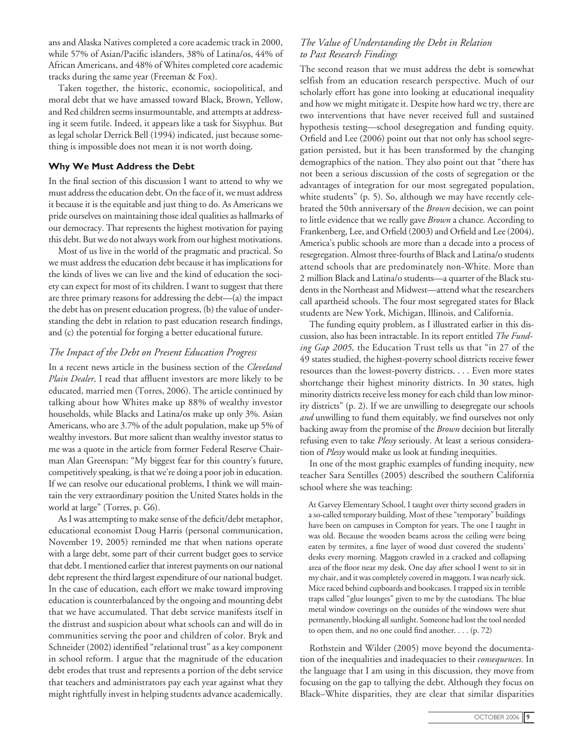ans and Alaska Natives completed a core academic track in 2000, while 57% of Asian/Pacific islanders, 38% of Latina/os, 44% of African Americans, and 48% of Whites completed core academic tracks during the same year (Freeman & Fox).

Taken together, the historic, economic, sociopolitical, and moral debt that we have amassed toward Black, Brown, Yellow, and Red children seems insurmountable, and attempts at addressing it seem futile. Indeed, it appears like a task for Sisyphus. But as legal scholar Derrick Bell (1994) indicated, just because something is impossible does not mean it is not worth doing.

#### **Why We Must Address the Debt**

In the final section of this discussion I want to attend to why we must address the education debt. On the face of it, we must address it because it is the equitable and just thing to do. As Americans we pride ourselves on maintaining those ideal qualities as hallmarks of our democracy. That represents the highest motivation for paying this debt. But we do not always work from our highest motivations.

Most of us live in the world of the pragmatic and practical. So we must address the education debt because it has implications for the kinds of lives we can live and the kind of education the society can expect for most of its children. I want to suggest that there are three primary reasons for addressing the debt—(a) the impact the debt has on present education progress, (b) the value of understanding the debt in relation to past education research findings, and (c) the potential for forging a better educational future.

#### *The Impact of the Debt on Present Education Progress*

In a recent news article in the business section of the *Cleveland Plain Dealer,* I read that affluent investors are more likely to be educated, married men (Torres, 2006). The article continued by talking about how Whites make up 88% of wealthy investor households, while Blacks and Latina/os make up only 3%. Asian Americans, who are 3.7% of the adult population, make up 5% of wealthy investors. But more salient than wealthy investor status to me was a quote in the article from former Federal Reserve Chairman Alan Greenspan: "My biggest fear for this country's future, competitively speaking, is that we're doing a poor job in education. If we can resolve our educational problems, I think we will maintain the very extraordinary position the United States holds in the world at large" (Torres, p. G6).

As I was attempting to make sense of the deficit/debt metaphor, educational economist Doug Harris (personal communication, November 19, 2005) reminded me that when nations operate with a large debt, some part of their current budget goes to service that debt. I mentioned earlier that interest payments on our national debt represent the third largest expenditure of our national budget. In the case of education, each effort we make toward improving education is counterbalanced by the ongoing and mounting debt that we have accumulated. That debt service manifests itself in the distrust and suspicion about what schools can and will do in communities serving the poor and children of color. Bryk and Schneider (2002) identified "relational trust" as a key component in school reform. I argue that the magnitude of the education debt erodes that trust and represents a portion of the debt service that teachers and administrators pay each year against what they might rightfully invest in helping students advance academically.

#### *The Value of Understanding the Debt in Relation to Past Research Findings*

The second reason that we must address the debt is somewhat selfish from an education research perspective. Much of our scholarly effort has gone into looking at educational inequality and how we might mitigate it. Despite how hard we try, there are two interventions that have never received full and sustained hypothesis testing—school desegregation and funding equity. Orfield and Lee (2006) point out that not only has school segregation persisted, but it has been transformed by the changing demographics of the nation. They also point out that "there has not been a serious discussion of the costs of segregation or the advantages of integration for our most segregated population, white students" (p. 5). So, although we may have recently celebrated the 50th anniversary of the *Brown* decision, we can point to little evidence that we really gave *Brown* a chance. According to Frankenberg, Lee, and Orfield (2003) and Orfield and Lee(2004), America's public schools are more than a decade into a process of resegregation. Almost three-fourths of Black and Latina/o students attend schools that are predominately non-White. More than 2 million Black and Latina/o students—a quarter of the Black students in the Northeast and Midwest—attend what the researchers call apartheid schools. The four most segregated states for Black students are New York, Michigan, Illinois, and California.

The funding equity problem, as I illustrated earlier in this discussion, also has been intractable. In its report entitled *The Funding Gap 2005,* the Education Trust tells us that "in 27 of the 49 states studied, the highest-poverty school districts receive fewer resources than the lowest-poverty districts. . . . Even more states shortchange their highest minority districts. In 30 states, high minority districts receive less money for each child than low minority districts" (p. 2). If we are unwilling to desegregate our schools *and* unwilling to fund them equitably, we find ourselves not only backing away from the promise of the *Brown* decision but literally refusing even to take *Plessy* seriously. At least a serious consideration of *Plessy* would make us look at funding inequities.

In one of the most graphic examples of funding inequity, new teacher Sara Sentilles (2005) described the southern California school where she was teaching:

At Garvey Elementary School, I taught over thirty second graders in a so-called temporary building. Most of these "temporary" buildings have been on campuses in Compton for years. The one I taught in was old. Because the wooden beams across the ceiling were being eaten by termites, a fine layer of wood dust covered the students' desks every morning. Maggots crawled in a cracked and collapsing area of the floor near my desk. One day after school I went to sit in my chair, and itwas completely covered in maggots.Iwas nearly sick. Mice raced behind cupboards and bookcases. I trapped six in terrible traps called "glue lounges" given to me by the custodians. The blue metal window coverings on the outsides of the windows were shut permanently, blocking all sunlight. Someone had lost the tool needed to open them, and no one could find another. . . . (p. 72)

Rothstein and Wilder (2005) move beyond the documentation of the inequalities and inadequacies to their *consequences.* In the language that I am using in this discussion, they move from focusing on the gap to tallying the debt. Although they focus on Black–White disparities, they are clear that similar disparities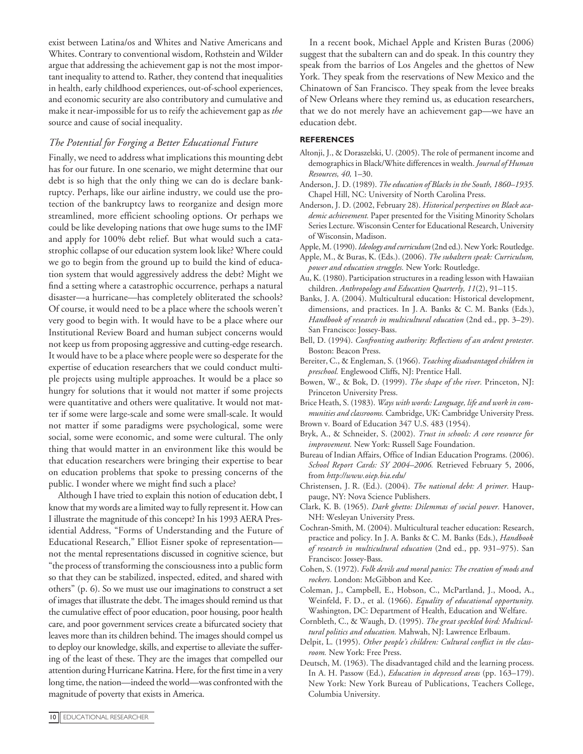exist between Latina/os and Whites and Native Americans and Whites. Contrary to conventional wisdom, Rothstein and Wilder argue that addressing the achievement gap is not the most important inequality to attend to. Rather, they contend that inequalities in health, early childhood experiences, out-of-school experiences, and economic security are also contributory and cumulative and make it near-impossible for us to reify the achievement gap as *the* source and cause of social inequality.

#### *The Potential for Forging a Better Educational Future*

Finally, we need to address what implications this mounting debt has for our future. In one scenario, we might determine that our debt is so high that the only thing we can do is declare bankruptcy. Perhaps, like our airline industry, we could use the protection of the bankruptcy laws to reorganize and design more streamlined, more efficient schooling options. Or perhaps we could be like developing nations that owe huge sums to the IMF and apply for 100% debt relief. But what would such a catastrophic collapse of our education system look like? Where could we go to begin from the ground up to build the kind of education system that would aggressively address the debt? Might we find a setting where a catastrophic occurrence, perhaps a natural disaster—a hurricane—has completely obliterated the schools? Of course, it would need to be a place where the schools weren't very good to begin with. It would have to be a place where our Institutional Review Board and human subject concerns would not keep us from proposing aggressive and cutting-edge research. It would have to be a place where people were so desperate for the expertise of education researchers that we could conduct multiple projects using multiple approaches. It would be a place so hungry for solutions that it would not matter if some projects were quantitative and others were qualitative. It would not matter if some were large-scale and some were small-scale. It would not matter if some paradigms were psychological, some were social, some were economic, and some were cultural. The only thing that would matter in an environment like this would be that education researchers were bringing their expertise to bear on education problems that spoke to pressing concerns of the public. I wonder where we might find such a place?

Although I have tried to explain this notion of education debt, I know that my words are a limited way to fully represent it. How can I illustrate the magnitude of this concept? In his 1993 AERA Presidential Address, "Forms of Understanding and the Future of Educational Research," Elliot Eisner spoke of representation not the mental representations discussed in cognitive science, but "the process of transforming the consciousness into a public form so that they can be stabilized, inspected, edited, and shared with others" (p. 6). So we must use our imaginations to construct a set of images that illustrate the debt. The images should remind us that the cumulative effect of poor education, poor housing, poor health care, and poor government services create a bifurcated society that leaves more than its children behind. The images should compel us to deploy our knowledge, skills, and expertise to alleviate the suffering of the least of these. They are the images that compelled our attention during Hurricane Katrina. Here, for the first time in a very long time, the nation—indeed the world—was confronted with the magnitude of poverty that exists in America.

In a recent book, Michael Apple and Kristen Buras (2006) suggest that the subaltern can and do speak. In this country they speak from the barrios of Los Angeles and the ghettos of New York. They speak from the reservations of New Mexico and the Chinatown of San Francisco. They speak from the levee breaks of New Orleans where they remind us, as education researchers, that we do not merely have an achievement gap—we have an education debt.

#### **REFERENCES**

- Altonji, J., & Doraszelski, U. (2005). The role of permanent income and demographics in Black/White differences in wealth.*Journal of Human Resources, 40,* 1–30.
- Anderson, J. D. (1989). *The education of Blacks in the South, 1860–1935.* Chapel Hill, NC: University of North Carolina Press.
- Anderson, J. D. (2002, February 28). *Historical perspectives on Black academic achievement.* Paper presented for the Visiting Minority Scholars Series Lecture. Wisconsin Center for Educational Research, University of Wisconsin, Madison.
- Apple, M. (1990). *Ideology and curriculum* (2nd ed.). New York: Routledge.
- Apple, M., & Buras, K. (Eds.). (2006). *The subaltern speak: Curriculum, power and education struggles.* New York: Routledge.
- Au, K. (1980). Participation structures in a reading lesson with Hawaiian children. *Anthropology and Education Quarterly, 11*(2), 91–115.
- Banks, J. A. (2004). Multicultural education: Historical development, dimensions, and practices. In J. A. Banks & C. M. Banks (Eds.), *Handbook of research in multicultural education* (2nd ed., pp. 3–29). San Francisco: Jossey-Bass.
- Bell, D. (1994). *Confronting authority: Reflections of an ardent protester.* Boston: Beacon Press.
- Bereiter, C., & Engleman, S. (1966). *Teaching disadvantaged children in preschool.* Englewood Cliffs, NJ: Prentice Hall.
- Bowen, W., & Bok, D. (1999). *The shape of the river.* Princeton, NJ: Princeton University Press.
- Brice Heath, S. (1983). *Ways with words: Language, life and work in communities and classrooms.* Cambridge, UK: Cambridge University Press.
- Brown v. Board of Education 347 U.S. 483 (1954).
- Bryk, A., & Schneider, S. (2002). *Trust in schools: A core resource for improvement.* New York: Russell Sage Foundation.
- Bureau of Indian Affairs, Office of Indian Education Programs. (2006). *School Report Cards: SY 2004–2006.* Retrieved February 5, 2006, from *http://www.oiep.bia.edu/*
- Christensen, J. R. (Ed.). (2004). *The national debt: A primer.* Hauppauge, NY: Nova Science Publishers.
- Clark, K. B. (1965). *Dark ghetto: Dilemmas of social power.* Hanover, NH: Wesleyan University Press.
- Cochran-Smith, M. (2004). Multicultural teacher education: Research, practice and policy. In J. A. Banks & C. M. Banks (Eds.), *Handbook of research in multicultural education* (2nd ed., pp. 931–975). San Francisco: Jossey-Bass.
- Cohen, S. (1972). *Folk devils and moral panics: The creation of mods and rockers.* London: McGibbon and Kee.
- Coleman, J., Campbell, E., Hobson, C., McPartland, J., Mood, A., Weinfeld, F. D., et al. (1966). *Equality of educational opportunity.* Washington, DC: Department of Health, Education and Welfare.
- Cornbleth, C., & Waugh, D. (1995). *The great speckled bird: Multicultural politics and education.* Mahwah, NJ: Lawrence Erlbaum.
- Delpit, L. (1995). *Other people's children: Cultural conflict in the classroom.* New York: Free Press.
- Deutsch, M. (1963). The disadvantaged child and the learning process. In A. H. Passow (Ed.), *Education in depressed areas* (pp. 163–179). New York: New York Bureau of Publications, Teachers College, Columbia University.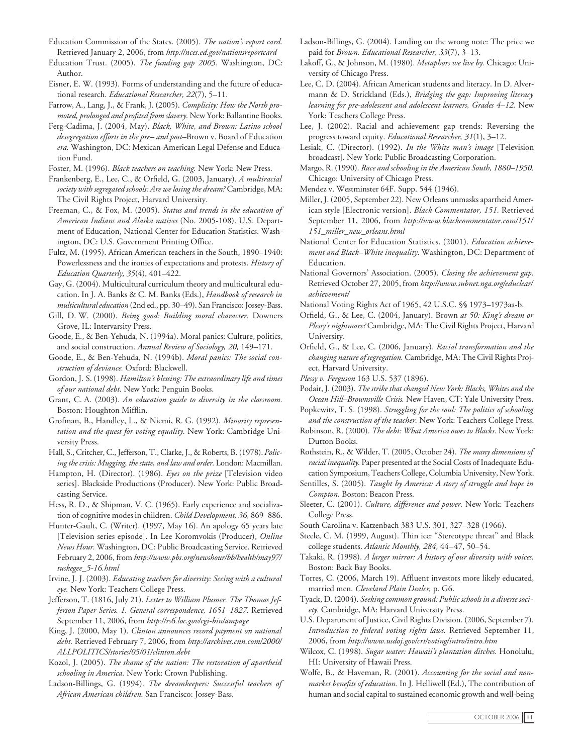Education Commission of the States. (2005). *The nation's report card.* Retrieved January 2, 2006, from *http://nces.ed.gov/nationsreportcard*

Education Trust. (2005). *The funding gap 2005.* Washington, DC: Author.

Eisner, E. W. (1993). Forms of understanding and the future of educational research. *Educational Researcher, 22*(7), 5–11.

Farrow, A., Lang, J., & Frank, J. (2005). *Complicity: How the North promoted, prolonged and profited from slavery.* New York: Ballantine Books.

Ferg-Cadima, J. (2004, May). *Black, White, and Brown: Latino school desegregation efforts in the pre– and post–*Brown v. Board of Education *era.* Washington, DC: Mexican-American Legal Defense and Education Fund.

Foster, M. (1996). *Black teachers on teaching.* New York: New Press.

- Frankenberg, E., Lee, C., & Orfield, G. (2003, January). *A multiracial society with segregated schools: Are we losingthe dream?* Cambridge, MA: The Civil Rights Project, Harvard University.
- Freeman, C., & Fox, M. (2005). *Status and trends in the education of American Indians and Alaska natives* (No. 2005-108). U.S. Department of Education, National Center for Education Statistics. Washington, DC: U.S. Government Printing Office.
- Fultz, M. (1995). African American teachers in the South, 1890–1940: Powerlessness and the ironies of expectations and protests. *History of Education Quarterly, 35*(4), 401–422.
- Gay, G. (2004). Multicultural curriculum theory and multicultural education. In J. A. Banks & C. M. Banks (Eds.), *Handbook of research in multiculturaleducation* (2nd ed., pp. 30–49). San Francisco:Jossey-Bass.

Gill, D. W. (2000). *Being good: Building moral character.* Downers Grove, IL: Intervarsity Press.

- Goode, E., & Ben-Yehuda, N. (1994a). Moral panics: Culture, politics, and social construction. *Annual Review of Sociology, 20,* 149–171.
- Goode, E., & Ben-Yehuda, N. (1994b). *Moral panics: The social construction of deviance.* Oxford: Blackwell.
- Gordon, J. S. (1998). *Hamilton's blessing: The extraordinary life and times of our national debt.* New York: Penguin Books.
- Grant, C. A. (2003). *An education guide to diversity in the classroom.* Boston: Houghton Mifflin.
- Grofman, B., Handley, L., & Niemi, R. G. (1992). *Minority representation and the quest for voting equality.* New York: Cambridge University Press.
- Hall, S.,Critcher,C.,Jefferson, T.,Clarke,J., & Roberts, B. (1978). *Policingthe crisis: Mugging, the state, and law and order.* London: Macmillan.
- Hampton, H. (Director). (1986). *Eyes on the prize* [Television video series]. Blackside Productions (Producer). New York: Public Broadcasting Service.
- Hess, R. D., & Shipman, V. C. (1965). Early experience and socialization of cognitive modes in children. *Child Development, 36,* 869–886.
- Hunter-Gault, C. (Writer). (1997, May 16). An apology 65 years late [Television series episode]. In Lee Koromvokis (Producer), *Online News Hour.* Washington, DC: Public Broadcasting Service. Retrieved February 2, 2006, from *http://www.pbs.org/newshour/bb/health/may97/ tuskegee\_5-16.html*
- Irvine, J. J. (2003). *Educating teachers for diversity: Seeing with a cultural eye.* New York: Teachers College Press.
- Jefferson, T. (1816, July 21). *Letter to William Plumer. The Thomas Jefferson Paper Series. 1. General correspondence, 1651–1827.* Retrieved September 11, 2006, from *http://rs6.loc.gov/cgi-bin/ampage*
- King, J. (2000, May 1). *Clinton announces record payment on national debt.* Retrieved February 7, 2006, from *http://archives.cnn.com/2000/ ALLPOLITICS/stories/05/01/clinton.debt*
- Kozol, J. (2005). *The shame of the nation: The restoration of apartheid schooling in America.* New York: Crown Publishing.
- Ladson-Billings, G. (1994). *The dreamkeepers: Successful teachers of African American children.* San Francisco: Jossey-Bass.
- Ladson-Billings, G. (2004). Landing on the wrong note: The price we paid for *Brown. Educational Researcher, 33*(7), 3–13.
- Lakoff, G., & Johnson, M. (1980). *Metaphors we live by.* Chicago: University of Chicago Press.
- Lee, C. D. (2004). African American students and literacy. In D. Alvermann & D. Strickland (Eds.), *Bridging the gap: Improving literacy learning for pre-adolescent and adolescent learners, Grades 4–12.* New York: Teachers College Press.
- Lee, J. (2002). Racial and achievement gap trends: Reversing the progress toward equity. *Educational Researcher, 31*(1), 3–12.
- Lesiak, C. (Director). (1992). *In the White man's image* [Television broadcast]. New York: Public Broadcasting Corporation.
- Margo, R. (1990). *Race and schoolingin the American South, 1880–1950.* Chicago: University of Chicago Press.
- Mendez v. Westminster 64F. Supp. 544 (1946).
- Miller, J. (2005, September 22). New Orleans unmasks apartheid American style [Electronic version]. *Black Commentator, 151.* Retrieved September 11, 2006, from *http://www.blackcommentator.com/151/ 151\_miller\_new\_orleans.html*
- National Center for Education Statistics. (2001). *Education achievement and Black–White inequality.* Washington, DC: Department of Education.
- National Governors' Association. (2005). *Closing the achievement gap.* Retrieved October 27, 2005, from *http://www.subnet.nga.org/educlear/ achievement/*
- National Voting Rights Act of 1965, 42 U.S.C. §§ 1973–1973aa-b.
- Orfield, G., & Lee, C. (2004, January). Brown *at 50: King's dream or Plessy's nightmare?* Cambridge, MA: The Civil Rights Project, Harvard University.
- Orfield, G., & Lee, C. (2006, January). *Racial transformation and the changing nature of segregation.* Cambridge, MA: The Civil Rights Project, Harvard University.
- *Plessy v. Ferguson* 163 U.S. 537 (1896).
- Podair, J. (2003). *The strike that changed New York: Blacks, Whites and the Ocean Hill–Brownsville Crisis.* New Haven, CT: Yale University Press.
- Popkewitz, T. S. (1998). *Struggling for the soul: The politics of schooling and the construction of the teacher.* New York: Teachers College Press.
- Robinson, R. (2000). *The debt: What America owes to Blacks.* New York: Dutton Books.
- Rothstein, R., & Wilder, T. (2005, October 24). *The many dimensions of* racial inequality. Paper presented at the Social Costs of Inadequate Education Symposium, Teachers College, Columbia University, New York.
- Sentilles, S. (2005). *Taught by America: A story of struggle and hope in Compton.* Boston: Beacon Press.
- Sleeter, C. (2001). *Culture, difference and power.* New York: Teachers College Press.
- South Carolina v. Katzenbach 383 U.S. 301, 327–328 (1966).
- Steele, C. M. (1999, August). Thin ice: "Stereotype threat" and Black college students. *Atlantic Monthly, 284,* 44–47, 50–54.
- Takaki, R. (1998). *A larger mirror: A history of our diversity with voices.* Boston: Back Bay Books.
- Torres, C. (2006, March 19). Affluent investors more likely educated, married men. *Cleveland Plain Dealer,* p. G6.
- Tyack, D. (2004). Seeking common ground: Public schools in a diverse soci*ety.* Cambridge, MA: Harvard University Press.
- U.S. Department of Justice, Civil Rights Division. (2006, September 7). *Introduction to federal voting rights laws.* Retrieved September 11, 2006, from *http://www.usdoj.gov/crt/voting/intro/intro.htm*
- Wilcox, C. (1998). *Sugar water: Hawaii's plantation ditches.* Honolulu, HI: University of Hawaii Press.
- Wolfe, B., & Haveman, R. (2001). *Accounting for the social and nonmarket benefits of education.* In J. Helliwell (Ed.), The contribution of human and social capital to sustained economic growth and well-being